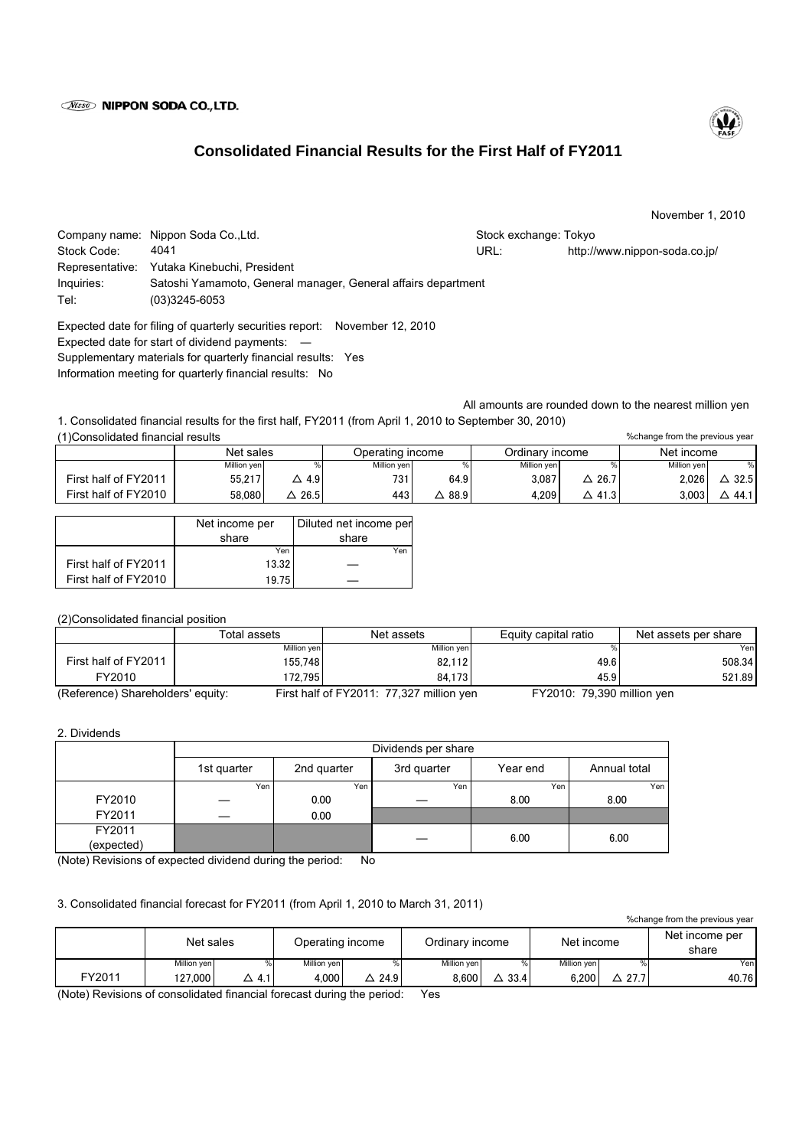## **Wisso NIPPON SODA CO., LTD.**

# **Consolidated Financial Results for the First Half of FY2011**

November 1, 2010

|             | Company name: Nippon Soda Co., Ltd.                           | Stock exchange: Tokyo |                               |  |  |  |
|-------------|---------------------------------------------------------------|-----------------------|-------------------------------|--|--|--|
| Stock Code: | 4041                                                          | URL:                  | http://www.nippon-soda.co.jp/ |  |  |  |
|             | Representative: Yutaka Kinebuchi, President                   |                       |                               |  |  |  |
| Inquiries:  | Satoshi Yamamoto, General manager, General affairs department |                       |                               |  |  |  |
| Tel:        | $(03)3245 - 6053$                                             |                       |                               |  |  |  |

Expected date for filing of quarterly securities report: November 12, 2010 Expected date for start of dividend payments: ― Supplementary materials for quarterly financial results: Yes Information meeting for quarterly financial results: No

All amounts are rounded down to the nearest million yen

1. Consolidated financial results for the first half, FY2011 (from April 1, 2010 to September 30, 2010) (1)Consolidated financial results

|                      | Net sales   |      | Operating income |      | Ordinarv income |           | Net income  |      |
|----------------------|-------------|------|------------------|------|-----------------|-----------|-------------|------|
|                      | Million yen |      | Million yen      |      | Million ven     |           | Million ven | %    |
| First half of FY2011 | 55.217      | 4.9  | 731 <sub>1</sub> | 64.9 | 3.087           | 26.7      | 2,026       | 32.5 |
| First half of FY2010 | 58.080      | 26.5 | 443              | 88.9 | 4.209           | 41.3<br>Δ | 3,003       | 44.1 |

|                      | Net income per<br>share | Diluted net income per<br>share |  |  |
|----------------------|-------------------------|---------------------------------|--|--|
|                      | Yen                     | Yen                             |  |  |
| First half of FY2011 | 13.32                   |                                 |  |  |
| First half of FY2010 | 19.75                   |                                 |  |  |

(2)Consolidated financial position

|                                   | Total assets | Net assets                               | Equity capital ratio       | Net assets per share |  |
|-----------------------------------|--------------|------------------------------------------|----------------------------|----------------------|--|
|                                   | Million yen  | Million yen                              |                            | Yenl                 |  |
| First half of FY2011              | 155.748      | 82.112                                   | 49.6                       | 508.34               |  |
| FY2010                            | 172.7951     | 84.173                                   | 45.9                       | 521.89               |  |
| (Reference) Shareholders' equity: |              | First half of FY2011: 77,327 million yen | FY2010: 79,390 million yen |                      |  |

### 2. Dividends

|            | Dividends per share |             |             |          |              |  |  |
|------------|---------------------|-------------|-------------|----------|--------------|--|--|
|            | 1st quarter         | 2nd quarter | 3rd quarter | Year end | Annual total |  |  |
|            | Yen                 | Yen         | Yen         | Yen      | Yen          |  |  |
| FY2010     |                     | 0.00        |             | 8.00     | 8.00         |  |  |
| FY2011     |                     | 0.00        |             |          |              |  |  |
| FY2011     |                     |             |             |          |              |  |  |
| (expected) |                     |             |             | 6.00     | 6.00         |  |  |

(Note) Revisions of expected dividend during the period: No

## 3. Consolidated financial forecast for FY2011 (from April 1, 2010 to March 31, 2011)

%change from the previous year

|        | Net sales   |          | Operating income |      | Ordinarv income |      | Net income  |                                   | Net income per<br>share |
|--------|-------------|----------|------------------|------|-----------------|------|-------------|-----------------------------------|-------------------------|
|        | Million ven |          | Million ven      |      | Million ven     |      | Million ven |                                   | Yen                     |
| FY2011 | 127.000     | 4.1<br>◡ | 4.000            | 24.9 | 8,600           | 33.4 | 6.200       | <b>077</b><br>$\cdot$ $21.7$<br>▵ | 40.76                   |

(Note) Revisions of consolidated financial forecast during the period: Yes



%change from the previous year